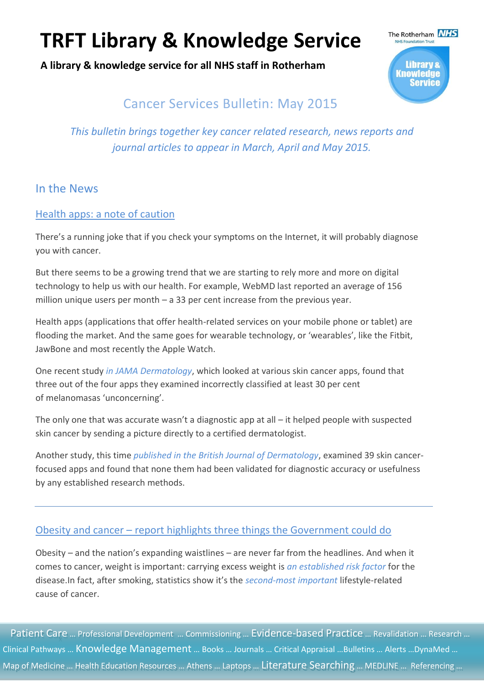**A library & knowledge service for all NHS staff in Rotherham**



# **Cancer Services Bulletin: May 2015**

*This bulletin brings together key cancer related research, news reports and journal articles to appear in March, April and May 2015.*

#### In the News

#### [Health apps: a note of caution](http://scienceblog.cancerresearchuk.org/2015/04/24/health-apps-a-note-of-caution/)

There's a running joke that if you check your symptoms on the Internet, it will probably diagnose you with cancer.

But there seems to be a growing trend that we are starting to rely more and more on digital technology to help us with our health. For example, WebMD last reported an average of 156 million unique users per month – a 33 per cent increase from the previous year.

Health apps (applications that offer health-related services on your mobile phone or tablet) are flooding the market. And the same goes for wearable technology, or 'wearables', like the Fitbit, JawBone and most recently the Apple Watch.

One recent study *[in JAMA Dermatology](http://archderm.jamanetwork.com/article.aspx?articleid=1557488)*, which looked at various skin cancer apps, found that three out of the four apps they examined incorrectly classified at least 30 per cent of melanomasas 'unconcerning'.

The only one that was accurate wasn't a diagnostic app at all – it helped people with suspected skin cancer by sending a picture directly to a certified dermatologist.

Another study, this time *[published in the British Journal of Dermatology](http://www.ncbi.nlm.nih.gov/pubmed/25600815)*, examined 39 skin cancerfocused apps and found that none them had been validated for diagnostic accuracy or usefulness by any established research methods.

#### Obesity and cancer – [report highlights three things the Government could do](http://scienceblog.cancerresearchuk.org/2015/03/27/obesity-and-cancer-three-things-the-government-should-do/)

Obesity – and the nation's expanding waistlines – are never far from the headlines. And when it comes to cancer, weight is important: carrying excess weight is *[an established risk factor](http://www.cancerresearchuk.org/cancer-info/healthyliving/obesity-bodyweight-and-cancer/stats-evidence/body-weight-and-cancer-the-evidence)* for the disease.In fact, after smoking, statistics show it's the *[second-most important](http://scienceblog.cancerresearchuk.org/2014/12/26/600000-preventable-cancers-the-size-of-the-healthy-living-prize/)* lifestyle-related cause of cancer.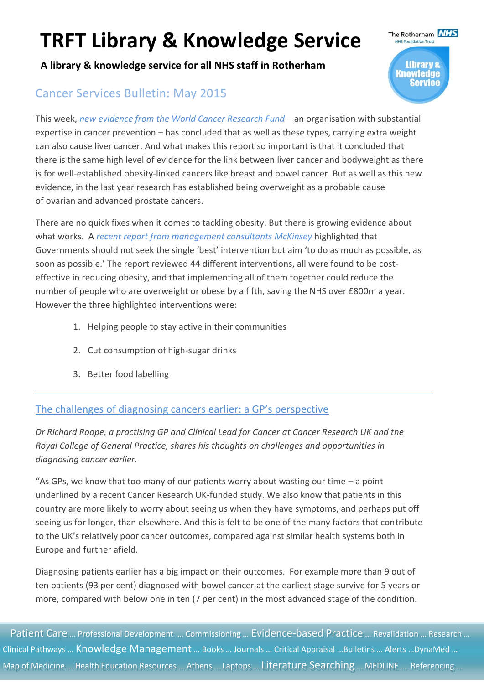**A library & knowledge service for all NHS staff in Rotherham**

# **Cancer Services Bulletin: May 2015**

This week, *[new evidence from the World Cancer Research Fund](http://www.wcrf-uk.org/uk/here-help/latest-news/continuous-update-project-%E2%80%93-our-analysis-global-research-liver-cancer)* – an organisation with substantial expertise in cancer prevention – has concluded that as well as these types, carrying extra weight can also cause liver cancer. And what makes this report so important is that it concluded that there is the same high level of evidence for the link between liver cancer and bodyweight as there is for well-established obesity-linked cancers like breast and bowel cancer. But as well as this new evidence, in the last year research has established being overweight as a probable cause of ovarian and advanced prostate cancers.

There are no quick fixes when it comes to tackling obesity. But there is growing evidence about what works. A *recent report [from management consultants McKinsey](http://www.mckinsey.com/~/media/McKinsey/dotcom/Insights/Economic%20Studies/How%20the%20world%20could%20better%20fight%20obesity/MGI_Overcoming_obesity_Full_report.ashx)* highlighted that Governments should not seek the single 'best' intervention but aim 'to do as much as possible, as soon as possible.' The report reviewed 44 different interventions, all were found to be costeffective in reducing obesity, and that implementing all of them together could reduce the number of people who are overweight or obese by a fifth, saving the NHS over £800m a year. However the three highlighted interventions were:

- 1. Helping people to stay active in their communities
- 2. Cut consumption of high-sugar drinks
- 3. Better food labelling

#### [The challenges of diagnosing cancers earlier: a GP's perspective](http://scienceblog.cancerresearchuk.org/2015/03/20/the-challenges-of-diagnosing-cancers-earlier-a-gps-perspective/)

*Dr Richard Roope, a practising GP and Clinical Lead for Cancer at Cancer Research UK and the Royal College of General Practice, shares his thoughts on challenges and opportunities in diagnosing cancer earlier.*

"As GPs, we know that too many of our patients worry about wasting our time  $-$  a point underlined by a recent Cancer Research UK-funded study. We also know that patients in this country are more likely to worry about seeing us when they have symptoms, and perhaps put off seeing us for longer, than elsewhere. And this is felt to be one of the many factors that contribute to the UK's relatively poor cancer outcomes, compared against similar health systems both in Europe and further afield.

Diagnosing patients earlier has a big impact on their outcomes. For example more than 9 out of ten patients (93 per cent) diagnosed with bowel cancer at the earliest stage survive for 5 years or more, compared with below one in ten (7 per cent) in the most advanced stage of the condition.

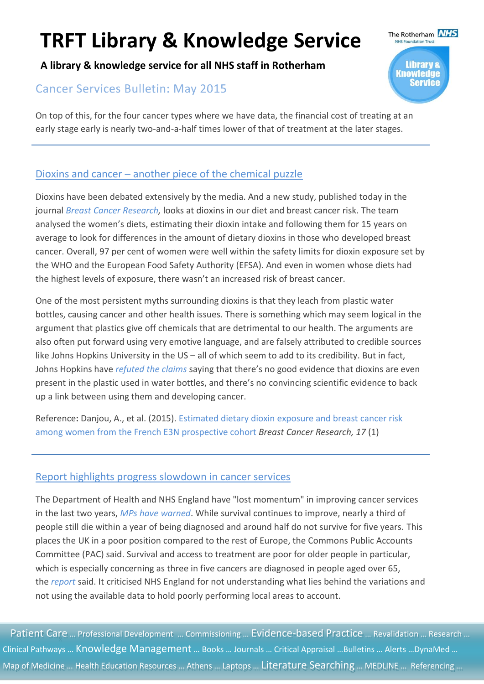**A library & knowledge service for all NHS staff in Rotherham**

### **Cancer Services Bulletin: May 2015**

On top of this, for the four cancer types where we have data, the financial cost of treating at an early stage early is nearly two-and-a-half times lower of that of treatment at the later stages.

### Dioxins and cancer – [another piece of the chemical puzzle](http://scienceblog.cancerresearchuk.org/2015/03/17/dioxins-and-cancer-another-piece-of-the-chemical-puzzle/)

Dioxins have been debated extensively by the media. And a new study, published today in the journal *[Breast Cancer Research,](http://breast-cancer-research.com/content/17/1/39)* looks at dioxins in our diet and breast cancer risk. The team analysed the women's diets, estimating their dioxin intake and following them for 15 years on average to look for differences in the amount of dietary dioxins in those who developed breast cancer. Overall, 97 per cent of women were well within the safety limits for dioxin exposure set by the WHO and the European Food Safety Authority (EFSA). And even in women whose diets had the highest levels of exposure, there wasn't an increased risk of breast cancer.

One of the most persistent myths surrounding dioxins is that they leach from plastic water bottles, causing cancer and other health issues. There is something which may seem logical in the argument that plastics give off chemicals that are detrimental to our health. The arguments are also often put forward using very emotive language, and are falsely attributed to credible sources like Johns Hopkins University in the US – all of which seem to add to its credibility. But in fact, Johns Hopkins have *[refuted the claims](http://www.jhsph.edu/news/stories/2004/halden-dioxins-two.html)* saying that there's no good evidence that dioxins are even present in the plastic used in water bottles, and there's no convincing scientific evidence to back up a link between using them and developing cancer.

Reference**:** Danjou, A., et al. (2015). [Estimated dietary dioxin exposure and breast cancer risk](http://dx.doi.org/10.1186/s13058-015-0536-9)  [among women from the French E3N prospective cohort](http://dx.doi.org/10.1186/s13058-015-0536-9) *Breast Cancer Research, 17* (1)

#### [Report highlights progress slowdown in cancer services](http://www.cancerresearchuk.org/about-us/cancer-news/news-report/2015-03-12-report-highlights-progress-slowdown-in-cancer-services)

The Department of Health and NHS England have "lost momentum" in improving cancer services in the last two years, *[MPs have warned](http://www.parliament.uk/business/committees/committees-a-z/commons-select/public-accounts-committee/news/report-progress-in-improving-cancer-services-and-outcomes-in-england/)*. While survival continues to improve, nearly a third of people still die within a year of being diagnosed and around half do not survive for five years. This places the UK in a poor position compared to the rest of Europe, the Commons Public Accounts Committee (PAC) said. Survival and access to treatment are poor for older people in particular, which is especially concerning as three in five cancers are diagnosed in people aged over 65, the *[report](http://www.parliament.uk/business/committees/committees-a-z/commons-select/public-accounts-committee/news/report-progress-in-improving-cancer-services-and-outcomes-in-england/)* said. It criticised NHS England for not understanding what lies behind the variations and not using the available data to hold poorly performing local areas to account.

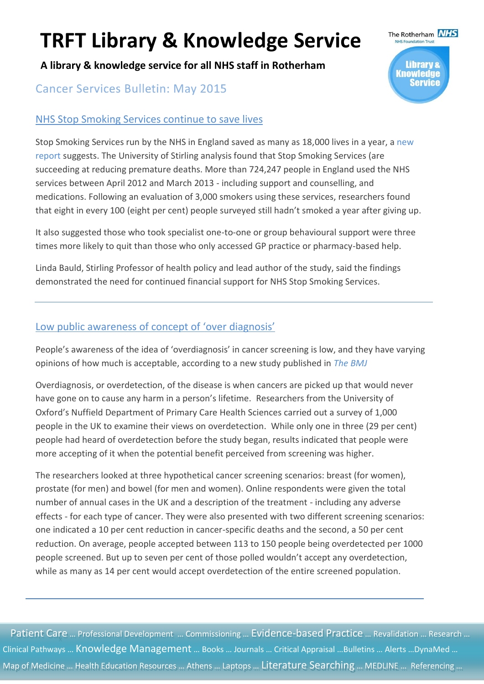**A library & knowledge service for all NHS staff in Rotherham**

### **Cancer Services Bulletin: May 2015**

#### [NHS Stop Smoking Services continue to save lives](http://www.cancerresearchuk.org/about-us/cancer-news/news-report/2015-03-11-nhs-stop-smoking-services-continue-to-save-lives)

Stop Smoking Services run by the NHS in England saved as many as 18,000 lives in a year, a new [report](http://www.stir.ac.uk/news/2015/03/stopsmokingstatsshow18000prematuredeathsprevented/) suggests. The University of Stirling analysis found that Stop Smoking Services (are succeeding at reducing premature deaths. More than 724,247 people in England used the NHS services between April 2012 and March 2013 - including support and counselling, and medications. Following an evaluation of 3,000 smokers using these services, researchers found that eight in every 100 (eight per cent) people surveyed still hadn't smoked a year after giving up.

It also suggested those who took specialist one-to-one or group behavioural support were three times more likely to quit than those who only accessed GP practice or pharmacy-based help.

Linda Bauld, Stirling Professor of health policy and lead author of the study, said the findings demonstrated the need for continued financial support for NHS Stop Smoking Services.

#### [Low public awareness of concept of 'over](http://www.cancerresearchuk.org/about-us/cancer-news/news-report/2015-03-04-low-public-awareness-of-concept-of-overdiagnosis) diagnosis'

People's awareness of the idea of 'overdiagnosis' in cancer screening is low, and they have varying opinions of how much is acceptable, according to a new study published in *[The BMJ](http://www.bmj.com/content/350/bmj.h980)*

Overdiagnosis, or overdetection, of the disease is when cancers are picked up that would never have gone on to cause any harm in a person's lifetime. Researchers from the University of Oxford's Nuffield Department of Primary Care Health Sciences carried out a survey of 1,000 people in the UK to examine their views on overdetection. While only one in three (29 per cent) people had heard of overdetection before the study began, results indicated that people were more accepting of it when the potential benefit perceived from screening was higher.

The researchers looked at three hypothetical cancer screening scenarios: breast (for women), prostate (for men) and bowel (for men and women). Online respondents were given the total number of annual cases in the UK and a description of the treatment - including any adverse effects - for each type of cancer. They were also presented with two different screening scenarios: one indicated a 10 per cent reduction in cancer-specific deaths and the second, a 50 per cent reduction. On average, people accepted between 113 to 150 people being overdetected per 1000 people screened. But up to seven per cent of those polled wouldn't accept any overdetection, while as many as 14 per cent would accept overdetection of the entire screened population.

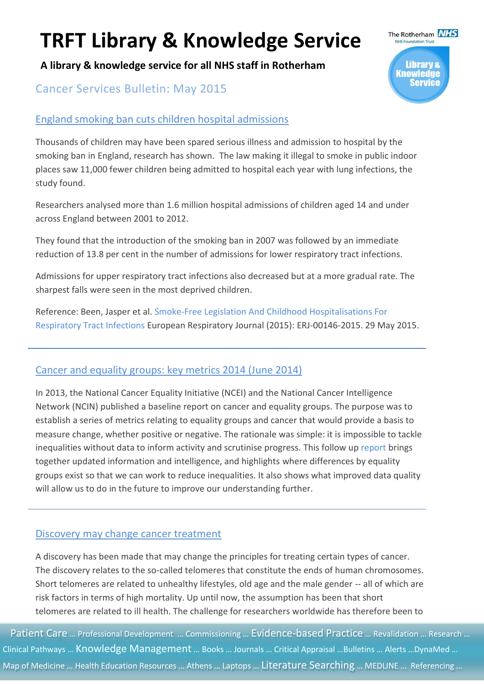**A library & knowledge service for all NHS staff in Rotherham**

### **Cancer Services Bulletin: May 2015**

#### [England smoking ban cuts children hospital admissions](http://www.bbc.co.uk/news/health-32918513)

Thousands of children may have been spared serious illness and admission to hospital by the smoking ban in England, research has shown. The law making it illegal to smoke in public indoor places saw 11,000 fewer children being admitted to hospital each year with lung infections, the study found.

Researchers analysed more than 1.6 million hospital admissions of children aged 14 and under across England between 2001 to 2012.

They found that the introduction of the smoking ban in 2007 was followed by an immediate reduction of 13.8 per cent in the number of admissions for lower respiratory tract infections.

Admissions for upper respiratory tract infections also decreased but at a more gradual rate. The sharpest falls were seen in the most deprived children.

Reference: Been, Jasper et al. [Smoke-Free Legislation And Childhood Hospitalisations For](http://erj.ersjournals.com/content/early/2015/05/28/09031936.00014615.abstract?sid=d49f5083-1211-4b8a-b6ea-571be00765a7)  [Respiratory Tract Infections](http://erj.ersjournals.com/content/early/2015/05/28/09031936.00014615.abstract?sid=d49f5083-1211-4b8a-b6ea-571be00765a7) European Respiratory Journal (2015): ERJ-00146-2015. 29 May 2015.

#### [Cancer and equality groups: key metrics 2014 \(June 2014\)](http://www.ncin.org.uk/view?rid=2697)

In 2013, the National Cancer Equality Initiative (NCEI) and the National Cancer Intelligence Network (NCIN) published a baseline report on cancer and equality groups. The purpose was to establish a series of metrics relating to equality groups and cancer that would provide a basis to measure change, whether positive or negative. The rationale was simple: it is impossible to tackle inequalities without data to inform activity and scrutinise progress. This follow up [report](http://www.ncin.org.uk/view?rid=2697) brings together updated information and intelligence, and highlights where differences by equality groups exist so that we can work to reduce inequalities. It also shows what improved data quality will allow us to do in the future to improve our understanding further.

#### [Discovery may change cancer treatment](http://www.sciencedaily.com/releases/2015/04/150429125651.htm)

A discovery has been made that may change the principles for treating certain types of cancer. The discovery relates to the so-called telomeres that constitute the ends of human chromosomes. Short telomeres are related to unhealthy lifestyles, old age and the male gender -- all of which are risk factors in terms of high mortality. Up until now, the assumption has been that short telomeres are related to ill health. The challenge for researchers worldwide has therefore been to

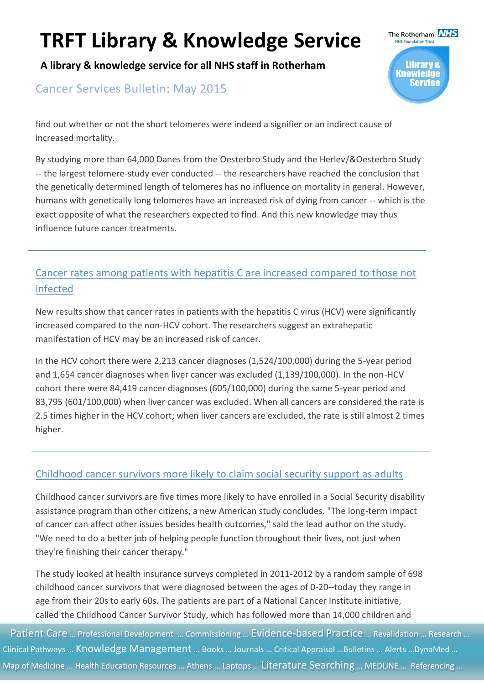**A library & knowledge service for all NHS staff in Rotherham**

### **Cancer Services Bulletin: May 2015**

The Rotherham **NHS** Library & Knowledge

find out whether or not the short telomeres were indeed a signifier or an indirect cause of increased mortality.

By studying more than 64,000 Danes from the Oesterbro Study and the Herlev/&Oesterbro Study -- the largest telomere-study ever conducted -- the researchers have reached the conclusion that the genetically determined length of telomeres has no influence on mortality in general. However, humans with genetically long telomeres have an increased risk of dying from cancer -- which is the exact opposite of what the researchers expected to find. And this new knowledge may thus influence future cancer treatments.

# [Cancer rates among patients with hepatitis C are increased compared to those not](http://www.medicalnewstoday.com/articles/293082.php)  [infected](http://www.medicalnewstoday.com/articles/293082.php)

New results show that cancer rates in patients with the hepatitis C virus (HCV) were significantly increased compared to the non-HCV cohort. The researchers suggest an extrahepatic manifestation of HCV may be an increased risk of cancer.

In the HCV cohort there were 2,213 cancer diagnoses (1,524/100,000) during the 5-year period and 1,654 cancer diagnoses when liver cancer was excluded (1,139/100,000). In the non-HCV cohort there were 84,419 cancer diagnoses (605/100,000) during the same 5-year period and 83,795 (601/100,000) when liver cancer was excluded. When all cancers are considered the rate is 2.5 times higher in the HCV cohort; when liver cancers are excluded, the rate is still almost 2 times higher.

#### [Childhood cancer survivors more likely to claim social security support as adults](http://www.sciencedaily.com/releases/2015/04/150421131724.htm)

Childhood cancer survivors are five times more likely to have enrolled in a Social Security disability assistance program than other citizens, a new American study concludes. "The long-term impact of cancer can affect other issues besides health outcomes," said the lead author on the study. "We need to do a better job of helping people function throughout their lives, not just when they're finishing their cancer therapy."

The study looked at health insurance surveys completed in 2011-2012 by a random sample of 698 childhood cancer survivors that were diagnosed between the ages of 0-20--today they range in age from their 20s to early 60s. The patients are part of a National Cancer Institute initiative, called the Childhood Cancer Survivor Study, which has followed more than 14,000 children and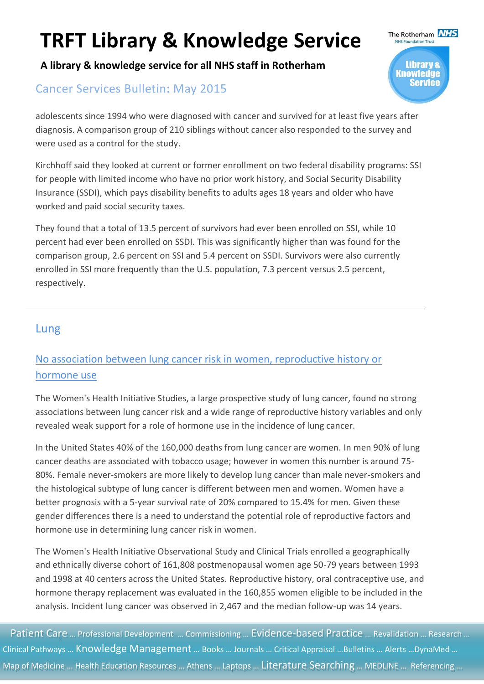**A library & knowledge service for all NHS staff in Rotherham**

### **Cancer Services Bulletin: May 2015**

adolescents since 1994 who were diagnosed with cancer and survived for at least five years after diagnosis. A comparison group of 210 siblings without cancer also responded to the survey and were used as a control for the study.

Kirchhoff said they looked at current or former enrollment on two federal disability programs: SSI for people with limited income who have no prior work history, and Social Security Disability Insurance (SSDI), which pays disability benefits to adults ages 18 years and older who have worked and paid social security taxes.

They found that a total of 13.5 percent of survivors had ever been enrolled on SSI, while 10 percent had ever been enrolled on SSDI. This was significantly higher than was found for the comparison group, 2.6 percent on SSI and 5.4 percent on SSDI. Survivors were also currently enrolled in SSI more frequently than the U.S. population, 7.3 percent versus 2.5 percent, respectively.

#### Lung

### [No association between lung cancer risk in women, reproductive history or](http://www.sciencedaily.com/releases/2015/04/150408113621.htm)  [hormone use](http://www.sciencedaily.com/releases/2015/04/150408113621.htm)

The Women's Health Initiative Studies, a large prospective study of lung cancer, found no strong associations between lung cancer risk and a wide range of reproductive history variables and only revealed weak support for a role of hormone use in the incidence of lung cancer.

In the United States 40% of the 160,000 deaths from lung cancer are women. In men 90% of lung cancer deaths are associated with tobacco usage; however in women this number is around 75- 80%. Female never-smokers are more likely to develop lung cancer than male never-smokers and the histological subtype of lung cancer is different between men and women. Women have a better prognosis with a 5-year survival rate of 20% compared to 15.4% for men. Given these gender differences there is a need to understand the potential role of reproductive factors and hormone use in determining lung cancer risk in women.

The Women's Health Initiative Observational Study and Clinical Trials enrolled a geographically and ethnically diverse cohort of 161,808 postmenopausal women age 50-79 years between 1993 and 1998 at 40 centers across the United States. Reproductive history, oral contraceptive use, and hormone therapy replacement was evaluated in the 160,855 women eligible to be included in the analysis. Incident lung cancer was observed in 2,467 and the median follow-up was 14 years.

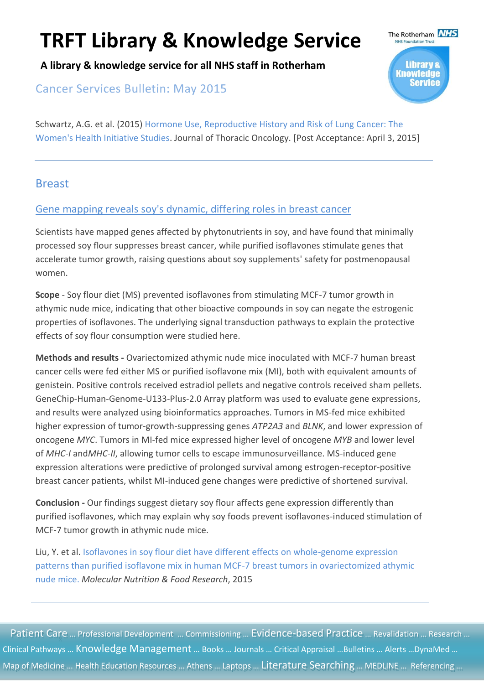**A library & knowledge service for all NHS staff in Rotherham**

### **Cancer Services Bulletin: May 2015**

Schwartz, A.G. et al. (2015) [Hormone Use, Reproductive History and Risk of Lung Cancer: The](http://ovidsp.uk.ovid.com/sp-3.15.1b/ovidweb.cgi?QS2=434f4e1a73d37e8c6c54053285ec0053fde8ed50e2bc00d7ad942749107b13e6f82bfa5a90b5b52101fdf29b93c49b727cc1bcf9530d3c8312193a9760dfffa86362c73ce7a19558bd75bb403c611951ab5fe99bc983e97bce3609ce54a11ddf4a93c781819d97df8c721716014d96f45faa567d65710f26455b166c5b9b0c184ad319bfaf920e3c81f5133267f4903b50ffbcc2161581d45b3918c6c4306fde6eeff2d53ac9cad1d736907ae4366d72ff03872d3d54c269e848f2c7620dc9150787066e5ac9b04a141d37b5bdfba9dc283fb29a571cc4919b77535862c4af02dd7e82d7a36331e4263d4c3a4cf70ceff5ea72563094f4bf23a6a3b7fc67061dcff448417a7dfc30796c2cf6be43a0c2bb3836ac3b13a903854567eb4167924a5929b58e07122280c326957c39768d2c934bebbe7ff069982cb490fa932b56dfb0eda00cfe4d9cabebec3769a1f8eece60d4c6e45293e45b23df0d67885cd2d0ebb52cfcc1b049fbb43f64c94b27336fff2dda0f398b947278045d22ca9eb22cd3978711a9f5721ce5ab9bb78b75d9dc7187720f7ec07d3f9648e8609afbeca13cb459fb66f6d28127c80a5238de10f62231a15054724b5d75363920248fc2490a8e6dd4800ac19e0e9899845fa440cb247eb14f33b4e876d27a47ecd34a7e140ec360b3a60ebd4d6096)  [Women's Health Initiative Studies.](http://ovidsp.uk.ovid.com/sp-3.15.1b/ovidweb.cgi?QS2=434f4e1a73d37e8c6c54053285ec0053fde8ed50e2bc00d7ad942749107b13e6f82bfa5a90b5b52101fdf29b93c49b727cc1bcf9530d3c8312193a9760dfffa86362c73ce7a19558bd75bb403c611951ab5fe99bc983e97bce3609ce54a11ddf4a93c781819d97df8c721716014d96f45faa567d65710f26455b166c5b9b0c184ad319bfaf920e3c81f5133267f4903b50ffbcc2161581d45b3918c6c4306fde6eeff2d53ac9cad1d736907ae4366d72ff03872d3d54c269e848f2c7620dc9150787066e5ac9b04a141d37b5bdfba9dc283fb29a571cc4919b77535862c4af02dd7e82d7a36331e4263d4c3a4cf70ceff5ea72563094f4bf23a6a3b7fc67061dcff448417a7dfc30796c2cf6be43a0c2bb3836ac3b13a903854567eb4167924a5929b58e07122280c326957c39768d2c934bebbe7ff069982cb490fa932b56dfb0eda00cfe4d9cabebec3769a1f8eece60d4c6e45293e45b23df0d67885cd2d0ebb52cfcc1b049fbb43f64c94b27336fff2dda0f398b947278045d22ca9eb22cd3978711a9f5721ce5ab9bb78b75d9dc7187720f7ec07d3f9648e8609afbeca13cb459fb66f6d28127c80a5238de10f62231a15054724b5d75363920248fc2490a8e6dd4800ac19e0e9899845fa440cb247eb14f33b4e876d27a47ecd34a7e140ec360b3a60ebd4d6096) Journal of Thoracic Oncology. [Post Acceptance: April 3, 2015]

#### **Breast**

#### [Gene mapping reveals soy's dynamic, differing roles in breast cancer](http://onlinelibrary.wiley.com/doi/10.1002/mnfr.201500028/abstract;jsessionid=980E1F6E9811EAAAD9E8639F7C99BB41.f03t01)

Scientists have mapped genes affected by phytonutrients in soy, and have found that minimally processed soy flour suppresses breast cancer, while purified isoflavones stimulate genes that accelerate tumor growth, raising questions about soy supplements' safety for postmenopausal women.

**Scope** - Soy flour diet (MS) prevented isoflavones from stimulating MCF-7 tumor growth in athymic nude mice, indicating that other bioactive compounds in soy can negate the estrogenic properties of isoflavones. The underlying signal transduction pathways to explain the protective effects of soy flour consumption were studied here.

**Methods and results -** Ovariectomized athymic nude mice inoculated with MCF-7 human breast cancer cells were fed either MS or purified isoflavone mix (MI), both with equivalent amounts of genistein. Positive controls received estradiol pellets and negative controls received sham pellets. GeneChip-Human-Genome-U133-Plus-2.0 Array platform was used to evaluate gene expressions, and results were analyzed using bioinformatics approaches. Tumors in MS-fed mice exhibited higher expression of tumor-growth-suppressing genes *ATP2A3* and *BLNK*, and lower expression of oncogene *MYC*. Tumors in MI-fed mice expressed higher level of oncogene *MYB* and lower level of *MHC-I* and*MHC-II*, allowing tumor cells to escape immunosurveillance. MS-induced gene expression alterations were predictive of prolonged survival among estrogen-receptor-positive breast cancer patients, whilst MI-induced gene changes were predictive of shortened survival.

**Conclusion -** Our findings suggest dietary soy flour affects gene expression differently than purified isoflavones, which may explain why soy foods prevent isoflavones-induced stimulation of MCF-7 tumor growth in athymic nude mice.

Liu, Y. et al. [Isoflavones in soy flour diet have different effects on whole-genome expression](http://onlinelibrary.wiley.com/doi/10.1002/mnfr.201500028/abstract;jsessionid=980E1F6E9811EAAAD9E8639F7C99BB41.f03t01)  [patterns than purified isoflavone mix in human MCF-7 breast tumors in ovariectomized athymic](http://onlinelibrary.wiley.com/doi/10.1002/mnfr.201500028/abstract;jsessionid=980E1F6E9811EAAAD9E8639F7C99BB41.f03t01)  [nude mice.](http://onlinelibrary.wiley.com/doi/10.1002/mnfr.201500028/abstract;jsessionid=980E1F6E9811EAAAD9E8639F7C99BB41.f03t01) *Molecular Nutrition & Food Research*, 2015

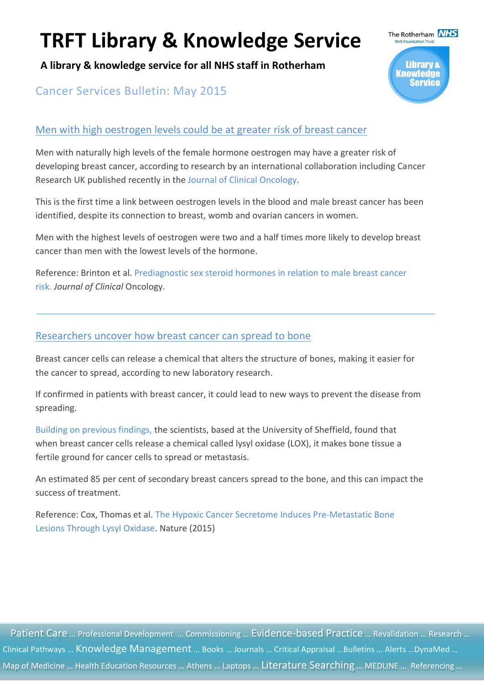**A library & knowledge service for all NHS staff in Rotherham**

# **Cancer Services Bulletin: May 2015**

#### [Men with high oestrogen levels could be at greater risk of breast cancer](http://www.cancerresearchuk.org/about-us/cancer-news/press-release/2015-05-11-men-with-high-oestrogen-levels-could-be-at-greater-risk-of-breast-cancer)

Men with naturally high levels of the female hormone oestrogen may have a greater risk of developing breast cancer, according to research by an international collaboration including Cancer Research UK published recently in the [Journal of Clinical Oncology.](http://jco.ascopubs.org/content/early/2015/05/08/JCO.2014.59.1602.abstract)

This is the first time a link between oestrogen levels in the blood and male breast cancer has been identified, despite its connection to breast, womb and ovarian cancers in women.

Men with the highest levels of oestrogen were two and a half times more likely to develop breast cancer than men with the lowest levels of the hormone.

Reference: Brinton et al. [Prediagnostic sex steroid hormones in relation to male breast cancer](http://jco.ascopubs.org/content/early/2015/05/08/JCO.2014.59.1602.abstract)  [risk.](http://jco.ascopubs.org/content/early/2015/05/08/JCO.2014.59.1602.abstract) *Journal of Clinical* Oncology.

#### [Researchers uncover how breast cancer can spread to bone](http://www.cancerresearchuk.org/about-us/cancer-news/news-report/2015-05-28-researchers-uncover-how-breast-cancer-can-spread-to-bone)

Breast cancer cells can release a chemical that alters the structure of bones, making it easier for the cancer to spread, according to new laboratory research.

If confirmed in patients with breast cancer, it could lead to new ways to prevent the disease from spreading.

[Building on previous findings,](http://scienceblog.cancerresearchuk.org/2009/01/07/the-lox-enzyme-preparing-the-ground-for-cancer-spread/) the scientists, based at the University of Sheffield, found that when breast cancer cells release a chemical called lysyl oxidase (LOX), it makes bone tissue a fertile ground for cancer cells to spread or metastasis.

An estimated 85 per cent of secondary breast cancers spread to the bone, and this can impact the success of treatment.

Reference: Cox, Thomas et al. [The Hypoxic Cancer Secretome Induces Pre-Metastatic Bone](http://www.nature.com/nature/journal/vaop/ncurrent/abs/nature14492.html)  [Lesions Through Lysyl Oxidase.](http://www.nature.com/nature/journal/vaop/ncurrent/abs/nature14492.html) Nature (2015)

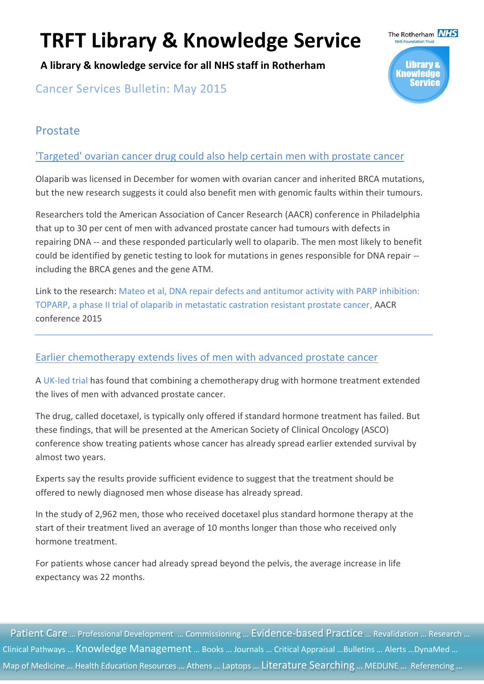**A library & knowledge service for all NHS staff in Rotherham**

**Cancer Services Bulletin: May 2015** 

# Prostate

#### ['Targeted' ovarian cancer drug could also help certain men with prostate cancer](http://www.cancerresearchuk.org/about-us/cancer-news/news-report/2015-04-22-targeted-ovarian-cancer-drug-could-also-help-certain-men-with-prostate-cancer)

Olaparib was licensed in December for women with ovarian cancer and inherited BRCA mutations, but the new research suggests it could also benefit men with genomic faults within their tumours.

Researchers told the American Association of Cancer Research (AACR) conference in Philadelphia that up to 30 per cent of men with advanced prostate cancer had tumours with defects in repairing DNA -- and these responded particularly well to olaparib. The men most likely to benefit could be identified by genetic testing to look for mutations in genes responsible for DNA repair - including the BRCA genes and the gene ATM.

Link to the research: [Mateo et al, DNA repair defects and antitumor activity with PARP inhibition:](http://www.abstractsonline.com/Plan/ViewAbstract.aspx?mID=3682&sKey=d60a28c6-91a3-4a37-a419-d79f96801b30&cKey=f119b58a-3f6f-4c22-93ef-a25da5df64a0&mKey=19573a54-ae8f-4e00-9c23-bd6d62268424)  [TOPARP, a phase II trial of olaparib in metastatic castration resistant prostate cancer,](http://www.abstractsonline.com/Plan/ViewAbstract.aspx?mID=3682&sKey=d60a28c6-91a3-4a37-a419-d79f96801b30&cKey=f119b58a-3f6f-4c22-93ef-a25da5df64a0&mKey=19573a54-ae8f-4e00-9c23-bd6d62268424) AACR conference 2015

#### Earlier chemotherapy extends lives of men with advanced prostate cancer

A [UK-led trial](http://www.cancerresearchuk.org/about-cancer/find-a-clinical-trial/a-trial-looking-at-hormone-therapy-with-zoledronic-acid-docetaxel-or-celecoxib-for-prostate-cancer) has found that combining a chemotherapy drug with hormone treatment extended the lives of men with advanced prostate cancer.

The drug, called docetaxel, is typically only offered if standard hormone treatment has failed. But these findings, that will be presented at the American Society of Clinical Oncology (ASCO) conference show treating patients whose cancer has already spread earlier extended survival by almost two years.

Experts say the results provide sufficient evidence to suggest that the treatment should be offered to newly diagnosed men whose disease has already spread.

In the study of 2,962 men, those who received docetaxel plus standard hormone therapy at the start of their treatment lived an average of 10 months longer than those who received only hormone treatment.

For patients whose cancer had already spread beyond the pelvis, the average increase in life expectancy was 22 months.

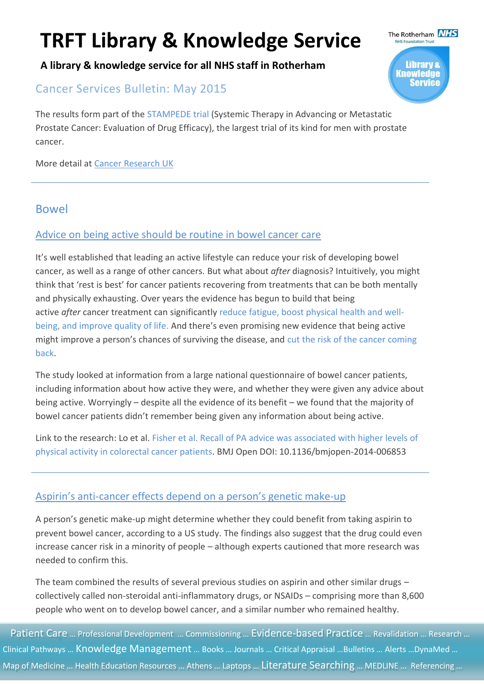**A library & knowledge service for all NHS staff in Rotherham**

### **Cancer Services Bulletin: May 2015**

The results form part of the [STAMPEDE trial](http://www.cancerresearchuk.org/about-cancer/find-a-clinical-trial/a-trial-looking-at-hormone-therapy-with-zoledronic-acid-docetaxel-or-celecoxib-for-prostate-cancer) (Systemic Therapy in Advancing or Metastatic Prostate Cancer: Evaluation of Drug Efficacy), the largest trial of its kind for men with prostate cancer.

More detail at [Cancer Research UK](http://www.cancerresearchuk.org/about-us/cancer-news/news-report/2015-05-14-earlier-chemotherapy-extends-lives-of-men-with-advanced-prostate-cancer)

#### Bowel

#### [Advice on being active should be routine in bowel cancer care](http://scienceblog.cancerresearchuk.org/2015/04/29/advice-on-being-active-should-be-routine-in-bowel-cancer-care/)

It's well established that leading an active lifestyle can reduce your risk of developing bowel cancer, as well as a range of other cancers. But what about *after* diagnosis? Intuitively, you might think that 'rest is best' for cancer patients recovering from treatments that can be both mentally and physically exhausting. Over years the evidence has begun to build that being active *after* cancer treatment can significantly [reduce fatigue,](http://www.ncbi.nlm.nih.gov/pubmed/18425939) [boost physical health](http://www.ncbi.nlm.nih.gov/pubmed/20052559) and [well](http://www.bmj.com/content/344/bmj.e70)[being, and improve quality of life.](http://www.bmj.com/content/344/bmj.e70) And there's even promising new evidence that being active might improve a person's chances of surviving the disease, and [cut the risk of the cancer coming](http://www.ncbi.nlm.nih.gov/pubmed/21464030)  [back.](http://www.ncbi.nlm.nih.gov/pubmed/21464030)

The study looked at information from a large national questionnaire of bowel cancer patients, including information about how active they were, and whether they were given any advice about being active. Worryingly – despite all the evidence of its benefit – we found that the majority of bowel cancer patients didn't remember being given any information about being active.

Link to the research: Lo et al. [Fisher et al. Recall of PA advice was associated with higher levels of](http://bmjopen.bmj.com/content/5/4/e006853.abstract)  [physical activity in colorectal cancer patients.](http://bmjopen.bmj.com/content/5/4/e006853.abstract) BMJ Open DOI: 10.1136/bmjopen-2014-006853

#### Aspirin's anti[-cancer effects depend on a person](http://www.cancerresearchuk.org/about-us/cancer-news/news-report/2015-03-18-aspirins-anti-cancer-effects-depend-on-a-persons-genetic-make-up)'s genetic make-up

A person's genetic make-up might determine whether they could benefit from taking aspirin to prevent bowel cancer, according to a US study. The findings also suggest that the drug could even increase cancer risk in a minority of people – although experts cautioned that more research was needed to confirm this.

The team combined the results of several previous studies on aspirin and other similar drugs – collectively called non-steroidal anti-inflammatory drugs, or NSAIDs – comprising more than 8,600 people who went on to develop bowel cancer, and a similar number who remained healthy.

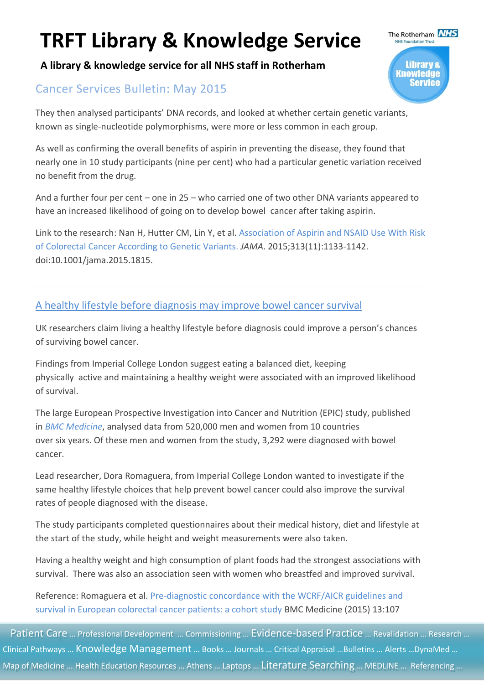**A library & knowledge service for all NHS staff in Rotherham**

### **Cancer Services Bulletin: May 2015**

They then analysed participants' DNA records, and looked at whether certain genetic variants, known as single-nucleotide polymorphisms, were more or less common in each group.

As well as confirming the overall benefits of aspirin in preventing the disease, they found that nearly one in 10 study participants (nine per cent) who had a particular genetic variation received no benefit from the drug.

And a further four per cent – one in 25 – who carried one of two other DNA variants appeared to have an increased likelihood of going on to develop bowel cancer after taking aspirin.

Link to the research: Nan H, Hutter CM, Lin Y, et al. [Association of Aspirin and NSAID Use With Risk](http://jama.jamanetwork.com/article.aspx?articleid=2203800)  [of Colorectal Cancer According to Genetic](http://jama.jamanetwork.com/article.aspx?articleid=2203800) Variants. *JAMA*. 2015;313(11):1133-1142. doi:10.1001/jama.2015.1815.

#### [A healthy lifestyle before diagnosis may improve bowel cancer survival](http://www.cancerresearchuk.org/about-us/cancer-news/news-report/2015-05-08-a-healthy-lifestyle-before-diagnosis-may-improve-bowel-cancer-survival)

UK researchers claim living a healthy lifestyle before diagnosis could improve a person's chances of surviving bowel cancer.

Findings from Imperial College London suggest eating a balanced diet, keeping physically active and maintaining a healthy weight were associated with an improved likelihood of survival.

The large European Prospective Investigation into Cancer and Nutrition (EPIC) study, published in *[BMC Medicine](http://www.biomedcentral.com/1741-7015/13/107/abstract)*, analysed data from 520,000 men and women from 10 countries over six years. Of these men and women from the study, 3,292 were diagnosed with bowel cancer.

Lead researcher, Dora Romaguera, from Imperial College London wanted to investigate if the same healthy lifestyle choices that help prevent bowel cancer could also improve the survival rates of people diagnosed with the disease.

The study participants completed questionnaires about their medical history, diet and lifestyle at the start of the study, while height and weight measurements were also taken.

Having a healthy weight and high consumption of plant foods had the strongest associations with survival. There was also an association seen with women who breastfed and improved survival.

Reference: Romaguera et al. [Pre-diagnostic concordance with the WCRF/AICR guidelines and](http://www.biomedcentral.com/content/pdf/s12916-015-0332-5.pdf)  [survival in European colorectal cancer patients: a cohort study](http://www.biomedcentral.com/content/pdf/s12916-015-0332-5.pdf) BMC Medicine (2015) 13:107

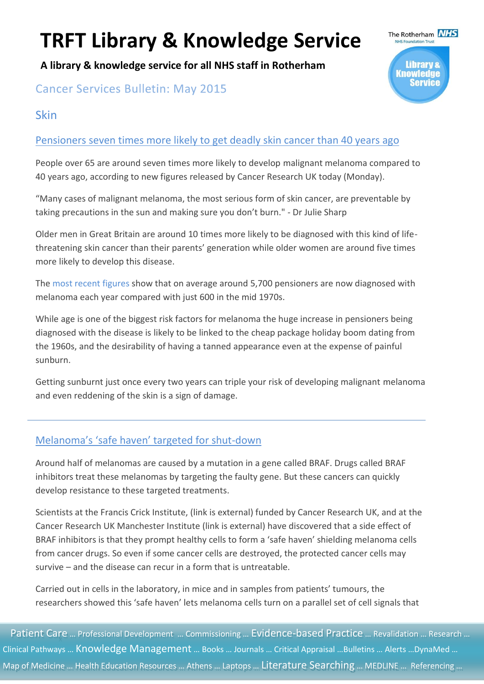**A library & knowledge service for all NHS staff in Rotherham**

### **Cancer Services Bulletin: May 2015**



#### [Pensioners seven times more likely to get deadly skin cancer than 40 years ago](http://www.cancerresearchuk.org/about-us/cancer-news/press-release/2015-04-06-pensioners-seven-times-more-likely-to-get-deadly-skin-cancer-than-40-years-ago)

People over 65 are around seven times more likely to develop malignant melanoma compared to 40 years ago, according to new figures released by Cancer Research UK today (Monday).

"Many cases of malignant melanoma, the most serious form of skin cancer, are preventable by taking precautions in the sun and making sure you don't burn." - Dr Julie Sharp

Older men in Great Britain are around 10 times more likely to be diagnosed with this kind of lifethreatening skin cancer than their parents' generation while older women are around five times more likely to develop this disease.

The [most recent figures](http://www.cancerresearchuk.org/cancer-info/cancerstats/types/skin/) show that on average around 5,700 pensioners are now diagnosed with melanoma each year compared with just 600 in the mid 1970s.

While age is one of the biggest risk factors for melanoma the huge increase in pensioners being diagnosed with the disease is likely to be linked to the cheap package holiday boom dating from the 1960s, and the desirability of having a tanned appearance even at the expense of painful sunburn.

Getting sunburnt just once every two years can triple your risk of developing malignant melanoma and even reddening of the skin is a sign of damage.

#### [Melanoma's 'safe haven' targeted for shut](http://www.cancerresearchuk.org/about-us/cancer-news/press-release/2015-04-13-melanomas-safe-haven-targeted-for-shut-down)-down

Around half of melanomas are caused by a mutation in a gene called BRAF. Drugs called BRAF inhibitors treat these melanomas by targeting the faulty gene. But these cancers can quickly develop resistance to these targeted treatments.

Scientists at the Francis Crick Institute, (link is external) funded by Cancer Research UK, and at the Cancer Research UK Manchester Institute (link is external) have discovered that a side effect of BRAF inhibitors is that they prompt healthy cells to form a 'safe haven' shielding melanoma cells from cancer drugs. So even if some cancer cells are destroyed, the protected cancer cells may survive – and the disease can recur in a form that is untreatable.

Carried out in cells in the laboratory, in mice and in samples from patients' tumours, the researchers showed this 'safe haven' lets melanoma cells turn on a parallel set of cell signals that

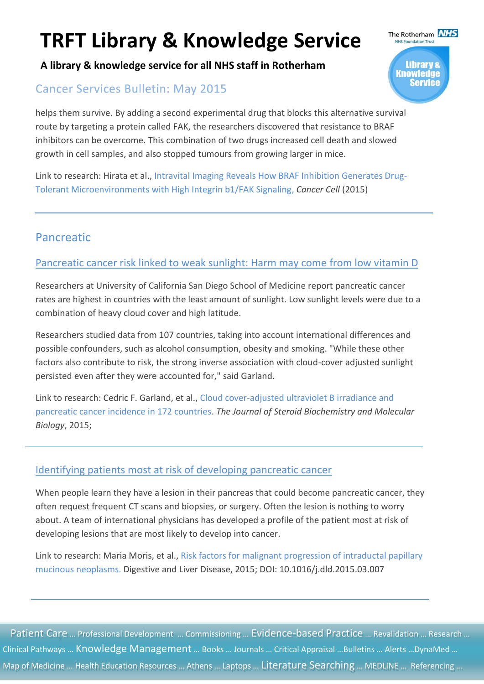**A library & knowledge service for all NHS staff in Rotherham**

### **Cancer Services Bulletin: May 2015**

helps them survive. By adding a second experimental drug that blocks this alternative survival route by targeting a protein called FAK, the researchers discovered that resistance to BRAF inhibitors can be overcome. This combination of two drugs increased cell death and slowed growth in cell samples, and also stopped tumours from growing larger in mice.

Link to research: Hirata et al.[, Intravital Imaging Reveals How BRAF Inhibition Generates Drug-](http://dx.doi.org/10.1016/j.ccell.2015.03.008)[Tolerant Microenvironments with High Integrin b1/FAK Signaling,](http://dx.doi.org/10.1016/j.ccell.2015.03.008) *Cancer Cell* (2015)

### Pancreatic

#### [Pancreatic cancer risk linked to weak sunlight: Harm may come from low vitamin D](http://www.sciencedaily.com/releases/2015/04/150430082151.htm)

Researchers at University of California San Diego School of Medicine report pancreatic cancer rates are highest in countries with the least amount of sunlight. Low sunlight levels were due to a combination of heavy cloud cover and high latitude.

Researchers studied data from 107 countries, taking into account international differences and possible confounders, such as alcohol consumption, obesity and smoking. "While these other factors also contribute to risk, the strong inverse association with cloud-cover adjusted sunlight persisted even after they were accounted for," said Garland.

Link to research: Cedric F. Garland, et al., [Cloud cover-adjusted ultraviolet B irradiance and](http://dx.doi.org/10.1016/j.jsbmb.2015.04.004)  [pancreatic cancer incidence in 172 countries.](http://dx.doi.org/10.1016/j.jsbmb.2015.04.004) *The Journal of Steroid Biochemistry and Molecular Biology*, 2015;

#### [Identifying patients most at risk of developing pancreatic cancer](http://www.sciencedaily.com/releases/2015/04/150413125649.htm)

When people learn they have a lesion in their pancreas that could become pancreatic cancer, they often request frequent CT scans and biopsies, or surgery. Often the lesion is nothing to worry about. A team of international physicians has developed a profile of the patient most at risk of developing lesions that are most likely to develop into cancer.

Link to research: Maria Moris, et al., [Risk factors for malignant progression of intraductal papillary](http://dx.doi.org/10.1016/j.dld.2015.03.007)  [mucinous neoplasms.](http://dx.doi.org/10.1016/j.dld.2015.03.007) Digestive and Liver Disease, 2015; DOI: 10.1016/j.dld.2015.03.007

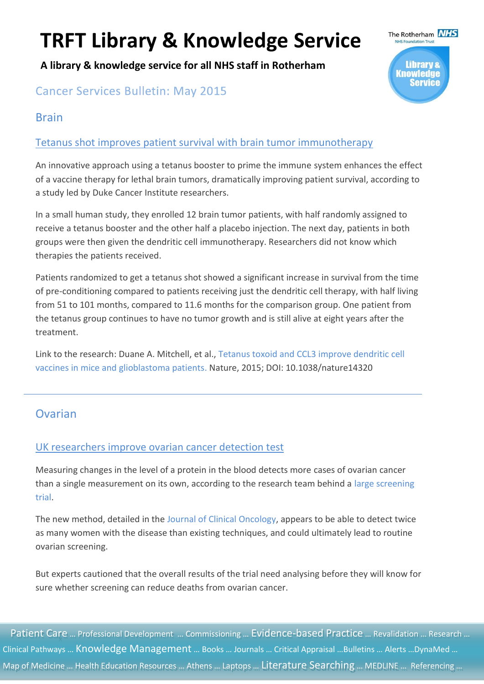**A library & knowledge service for all NHS staff in Rotherham**

# **Cancer Services Bulletin: May 2015**

### Brain

#### [Tetanus shot improves patient survival with brain tumor immunotherapy](http://www.sciencedaily.com/releases/2015/03/150311140626.htm)

An innovative approach using a tetanus booster to prime the immune system enhances the effect of a vaccine therapy for lethal brain tumors, dramatically improving patient survival, according to a study led by Duke Cancer Institute researchers.

In a small human study, they enrolled 12 brain tumor patients, with half randomly assigned to receive a tetanus booster and the other half a placebo injection. The next day, patients in both groups were then given the dendritic cell immunotherapy. Researchers did not know which therapies the patients received.

Patients randomized to get a tetanus shot showed a significant increase in survival from the time of pre-conditioning compared to patients receiving just the dendritic cell therapy, with half living from 51 to 101 months, compared to 11.6 months for the comparison group. One patient from the tetanus group continues to have no tumor growth and is still alive at eight years after the treatment.

Link to the research: Duane A. Mitchell, et al., [Tetanus toxoid and CCL3 improve dendritic cell](http://dx.doi.org/10.1038/nature14320)  [vaccines in mice and glioblastoma patients.](http://dx.doi.org/10.1038/nature14320) Nature, 2015; DOI: 10.1038/nature14320

### **Ovarian**

#### UK researchers improve ovarian cancer detection test

Measuring changes in the level of a protein in the blood detects more cases of ovarian cancer than a single measurement on its own, according to the research team behind a large screening [trial.](http://www.cancerresearchuk.org/about-cancer/find-a-clinical-trial/a-study-looking-at-screening-the-general-population-for-ovarian-cancer)

The new method, detailed in the [Journal of Clinical Oncology,](http://jco.ascopubs.org/content/early/2015/05/14/JCO.2014.59.4945.abstract?sid=8b686ff5-1000-4625-8ccc-bdd5b619645c) appears to be able to detect twice as many women with the disease than existing techniques, and could ultimately lead to routine ovarian screening.

But experts cautioned that the overall results of the trial need analysing before they will know for sure whether screening can reduce deaths from ovarian cancer.

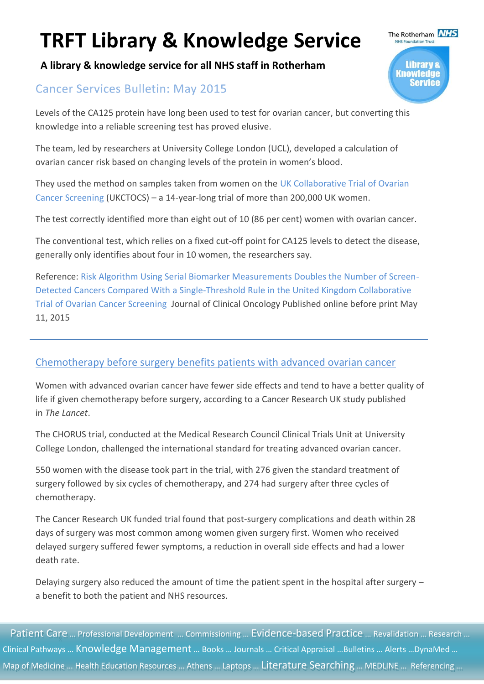**A library & knowledge service for all NHS staff in Rotherham**

### **Cancer Services Bulletin: May 2015**

Levels of the CA125 protein have long been used to test for ovarian cancer, but converting this knowledge into a reliable screening test has proved elusive.

The team, led by researchers at University College London (UCL), developed a calculation of ovarian cancer risk based on changing levels of the protein in women's blood.

They used the method on samples taken from women on the [UK Collaborative Trial of Ovarian](http://www.cancerresearchuk.org/about-cancer/find-a-clinical-trial/a-study-looking-at-screening-the-general-population-for-ovarian-cancer)  [Cancer Screening](http://www.cancerresearchuk.org/about-cancer/find-a-clinical-trial/a-study-looking-at-screening-the-general-population-for-ovarian-cancer) (UKCTOCS) – a 14-year-long trial of more than 200,000 UK women.

The test correctly identified more than eight out of 10 (86 per cent) women with ovarian cancer.

The conventional test, which relies on a fixed cut-off point for CA125 levels to detect the disease, generally only identifies about four in 10 women, the researchers say.

Reference: [Risk Algorithm Using Serial Biomarker Measurements Doubles the Number of Screen-](http://jco.ascopubs.org/content/early/2015/05/14/JCO.2014.59.4945.full.pdf+html)[Detected Cancers Compared With a Single-Threshold Rule in the United Kingdom Collaborative](http://jco.ascopubs.org/content/early/2015/05/14/JCO.2014.59.4945.full.pdf+html)  [Trial of Ovarian Cancer Screening](http://jco.ascopubs.org/content/early/2015/05/14/JCO.2014.59.4945.full.pdf+html) Journal of Clinical Oncology Published online before print May 11, 2015

#### [Chemotherapy before surgery benefits patients with advanced ovarian cancer](http://www.cancerresearchuk.org/about-us/cancer-news/press-release/2015-05-20-chemo-before-surgery-benefits-patients-with-advanced-ovarian-cancer)

Women with advanced ovarian cancer have fewer side effects and tend to have a better quality of life if given chemotherapy before surgery, according to a Cancer Research UK study published in *The Lancet*.

The CHORUS trial, conducted at the Medical Research Council Clinical Trials Unit at University College London, challenged the international standard for treating advanced ovarian cancer.

550 women with the disease took part in the trial, with 276 given the standard treatment of surgery followed by six cycles of chemotherapy, and 274 had surgery after three cycles of chemotherapy.

The Cancer Research UK funded trial found that post-surgery complications and death within 28 days of surgery was most common among women given surgery first. Women who received delayed surgery suffered fewer symptoms, a reduction in overall side effects and had a lower death rate.

Delaying surgery also reduced the amount of time the patient spent in the hospital after surgery – a benefit to both the patient and NHS resources.

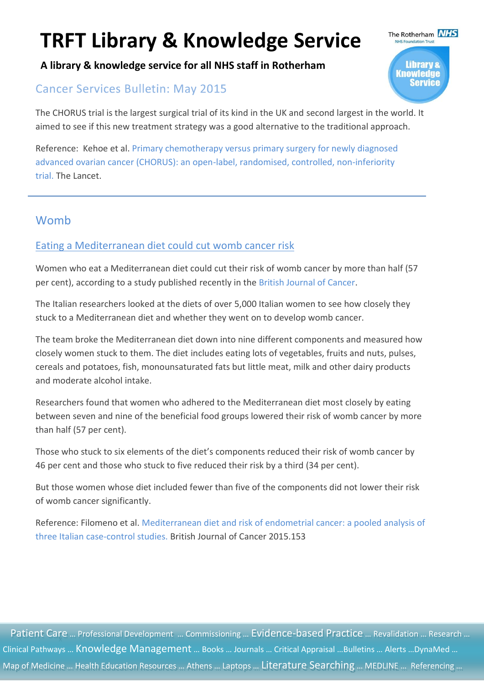**A library & knowledge service for all NHS staff in Rotherham**

### **Cancer Services Bulletin: May 2015**

The CHORUS trial is the largest surgical trial of its kind in the UK and second largest in the world. It aimed to see if this new treatment strategy was a good alternative to the traditional approach.

Reference: Kehoe et al. [Primary chemotherapy versus primary surgery for newly diagnosed](http://www.thelancet.com/journals/lancet/article/PIIS0140-6736%2814%2962223-6/abstract)  [advanced ovarian cancer \(CHORUS\): an open-label, randomised, controlled, non-inferiority](http://www.thelancet.com/journals/lancet/article/PIIS0140-6736%2814%2962223-6/abstract)  [trial.](http://www.thelancet.com/journals/lancet/article/PIIS0140-6736%2814%2962223-6/abstract) The Lancet.

### Womb

#### [Eating a Mediterranean diet could cut womb cancer risk](http://www.cancerresearchuk.org/about-us/cancer-news/press-release/2015-05-27-eating-a-mediterranean-diet-could-cut-womb-cancer-risk)

Women who eat a Mediterranean diet could cut their risk of womb cancer by more than half (57 per cent), according to a study published recently in the [British Journal of Cancer.](http://www.nature.com/bjc/journal/v112/n11/abs/bjc2015153a.html)

The Italian researchers looked at the diets of over 5,000 Italian women to see how closely they stuck to a Mediterranean diet and whether they went on to develop womb cancer.

The team broke the Mediterranean diet down into nine different components and measured how closely women stuck to them. The diet includes eating lots of vegetables, fruits and nuts, pulses, cereals and potatoes, fish, monounsaturated fats but little meat, milk and other dairy products and moderate alcohol intake.

Researchers found that women who adhered to the Mediterranean diet most closely by eating between seven and nine of the beneficial food groups lowered their risk of womb cancer by more than half (57 per cent).

Those who stuck to six elements of the diet's components reduced their risk of womb cancer by 46 per cent and those who stuck to five reduced their risk by a third (34 per cent).

But those women whose diet included fewer than five of the components did not lower their risk of womb cancer significantly.

Reference: Filomeno et al. [Mediterranean diet and risk of endometrial cancer: a pooled analysis of](http://www.nature.com/bjc/journal/v112/n11/abs/bjc2015153a.html)  [three Italian case-control studies.](http://www.nature.com/bjc/journal/v112/n11/abs/bjc2015153a.html) British Journal of Cancer 2015.153